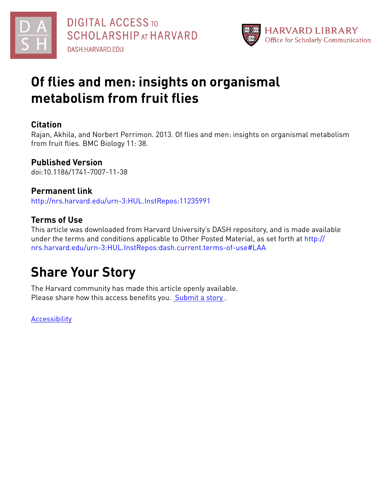



# **Of flies and men: insights on organismal metabolism from fruit flies**

## **Citation**

Rajan, Akhila, and Norbert Perrimon. 2013. Of flies and men: insights on organismal metabolism from fruit flies. BMC Biology 11: 38.

## **Published Version**

doi:10.1186/1741-7007-11-38

# **Permanent link**

<http://nrs.harvard.edu/urn-3:HUL.InstRepos:11235991>

## **Terms of Use**

This article was downloaded from Harvard University's DASH repository, and is made available under the terms and conditions applicable to Other Posted Material, as set forth at [http://](http://nrs.harvard.edu/urn-3:HUL.InstRepos:dash.current.terms-of-use#LAA) [nrs.harvard.edu/urn-3:HUL.InstRepos:dash.current.terms-of-use#LAA](http://nrs.harvard.edu/urn-3:HUL.InstRepos:dash.current.terms-of-use#LAA)

# **Share Your Story**

The Harvard community has made this article openly available. Please share how this access benefits you. [Submit](http://osc.hul.harvard.edu/dash/open-access-feedback?handle=&title=Of%20flies%20and%20men:%20insights%20on%20organismal%20metabolism%20from%20fruit%20flies&community=1/4454685&collection=1/4454686&owningCollection1/4454686&harvardAuthors=2e2d19cdcd4b7e791ca962a4ea62f701&department) a story.

**[Accessibility](https://dash.harvard.edu/pages/accessibility)**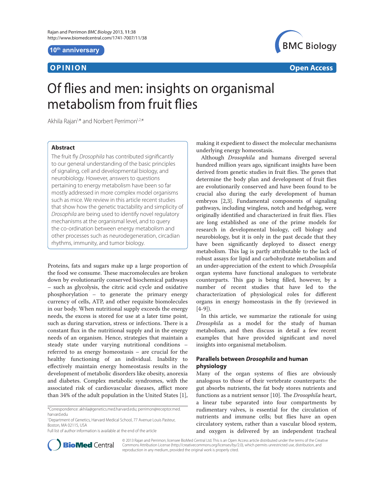**10th anniversary**



**OPINION Open Access**

# Of flies and men: insights on organismal metabolism from fruit flies

Akhila Rajan<sup>1,\*</sup> and Norbert Perrimon<sup>1,2,\*</sup>

### **Abstract**

The fruit fly *Drosophila* has contributed significantly to our general understanding of the basic principles of signaling, cell and developmental biology, and neurobiology. However, answers to questions pertaining to energy metabolism have been so far mostly addressed in more complex model organisms such as mice. We review in this article recent studies that show how the genetic tractability and simplicity of *Drosophila* are being used to identify novel regulatory mechanisms at the organismal level, and to query the co-ordination between energy metabolism and other processes such as neurodegeneration, circadian rhythms, immunity, and tumor biology.

Proteins, fats and sugars make up a large proportion of the food we consume. These macromolecules are broken down by evolutionarily conserved biochemical pathways – such as glycolysis, the citric acid cycle and oxidative phosphorylation – to generate the primary energy currency of cells, ATP, and other requisite biomolecules in our body. When nutritional supply exceeds the energy needs, the excess is stored for use at a later time point, such as during starvation, stress or infections. There is a constant flux in the nutritional supply and in the energy needs of an organism. Hence, strategies that maintain a steady state under varying nutritional conditions – referred to as energy homeostasis – are crucial for the healthy functioning of an individual. Inability to effectively maintain energy homeostasis results in the development of metabolic disorders like obesity, anorexia and diabetes. Complex metabolic syndromes, with the associated risk of cardiovascular diseases, afflict more than 34% of the adult population in the United States [1],

\*Correspondence: akhila@genetics.med.harvard.edu; perrimon@receptor.med. harvard.edu

Full list of author information is available at the end of the article

making it expedient to dissect the molecular mechanisms underlying energy homeostasis.

Although *Drosophila* and humans diverged several hundred million years ago, significant insights have been derived from genetic studies in fruit flies. The genes that determine the body plan and development of fruit flies are evolutionarily conserved and have been found to be crucial also during the early development of human embryos [2,3]. Fundamental components of signaling pathways, including wingless, notch and hedgehog, were originally identified and characterized in fruit flies. Flies are long established as one of the prime models for research in developmental biology, cell biology and neurobiology, but it is only in the past decade that they have been significantly deployed to dissect energy metabolism. This lag is partly attributable to the lack of robust assays for lipid and carbohydrate metabolism and an under-appreciation of the extent to which *Drosophila* organ systems have functional analogues to vertebrate counterparts. This gap is being filled, however, by a number of recent studies that have led to the characterization of physiological roles for different organs in energy homeostasis in the fly (reviewed in [4-9]).

In this article, we summarize the rationale for using *Drosophila* as a model for the study of human metabolism, and then discuss in detail a few recent examples that have provided significant and novel insights into organismal metabolism.

#### **Parallels between** *Drosophila* **and human physiology**

Many of the organ systems of flies are obviously analogous to those of their vertebrate counterparts: the gut absorbs nutrients, the fat body stores nutrients and functions as a nutrient sensor [10]. The *Drosophila* heart, a linear tube separated into four compartments by rudimentary valves, is essential for the circulation of nutrients and immune cells; but flies have an open circulatory system, rather than a vascular blood system, and oxygen is delivered by an independent tracheal



© 2013 Rajan and Perrimon; licensee BioMed Central Ltd. This is an Open Access article distributed under the terms of the Creative Commons Attribution License (http://creativecommons.org/licenses/by/2.0), which permits unrestricted use, distribution, and reproduction in any medium, provided the original work is properly cited.

<sup>1</sup> Department of Genetics, Harvard Medical School, 77 Avenue Louis Pasteur, Boston, MA 02115, USA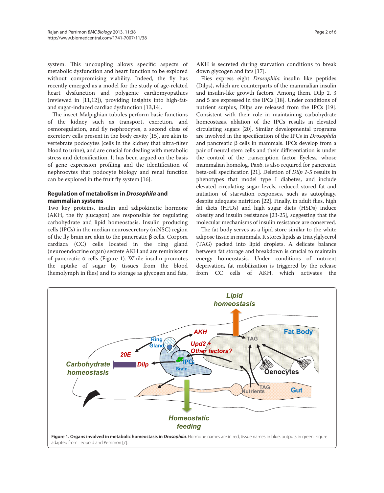system. This uncoupling allows specific aspects of metabolic dysfunction and heart function to be explored without compromising viability. Indeed, the fly has recently emerged as a model for the study of age-related heart dysfunction and polygenic cardiomyopathies (reviewed in [11,12]), providing insights into high-fatand sugar-induced cardiac dysfunction [13,14].

The insect Malpighian tubules perform basic functions of the kidney such as transport, excretion, and osmoregulation, and fly nephrocytes, a second class of excretory cells present in the body cavity [15], are akin to vertebrate podocytes (cells in the kidney that ultra-filter blood to urine), and are crucial for dealing with metabolic stress and detoxification. It has been argued on the basis of gene expression profiling and the identification of nephrocytes that podocyte biology and renal function can be explored in the fruit fly system [16].

#### **Regulation of metabolism in** *Drosophila* **and mammalian systems**

Two key proteins, insulin and adipokinetic hormone (AKH, the fly glucagon) are responsible for regulating carbohydrate and lipid homeostasis. Insulin producing cells (IPCs) in the median neurosecretory (mNSC) region of the fly brain are akin to the pancreatic β cells. Corpora cardiaca (CC) cells located in the ring gland (neuroendocrine organ) secrete AKH and are reminiscent of pancreatic α cells (Figure 1). While insulin promotes the uptake of sugar by tissues from the blood (hemolymph in flies) and its storage as glycogen and fats, AKH is secreted during starvation conditions to break down glycogen and fats [17].

Flies express eight *Drosophila* insulin like peptides (Dilps), which are counterparts of the mammalian insulin and insulin-like growth factors. Among them, Dilp 2, 3 and 5 are expressed in the IPCs [18]. Under conditions of nutrient surplus, Dilps are released from the IPCs [19]. Consistent with their role in maintaining carbohydrate homeostasis, ablation of the IPCs results in elevated circulating sugars [20]. Similar developmental programs are involved in the specification of the IPCs in *Drosophila* and pancreatic β cells in mammals. IPCs develop from a pair of neural stem cells and their differentiation is under the control of the transcription factor Eyeless*,* whose mammalian homolog, Pax6, is also required for pancreatic beta-cell specification [21]. Deletion of *Dilp 1-5* results in phenotypes that model type I diabetes, and include elevated circulating sugar levels, reduced stored fat and initiation of starvation responses, such as autophagy, despite adequate nutrition [22]. Finally, in adult flies, high fat diets (HFDs) and high sugar diets (HSDs) induce obesity and insulin resistance [23-25], suggesting that the molecular mechanisms of insulin resistance are conserved.

The fat body serves as a lipid store similar to the white adipose tissue in mammals. It stores lipids as triacylglycerol (TAG) packed into lipid droplets. A delicate balance between fat storage and breakdown is crucial to maintain energy homeostasis. Under conditions of nutrient deprivation, fat mobilization is triggered by the release from CC cells of AKH, which activates the

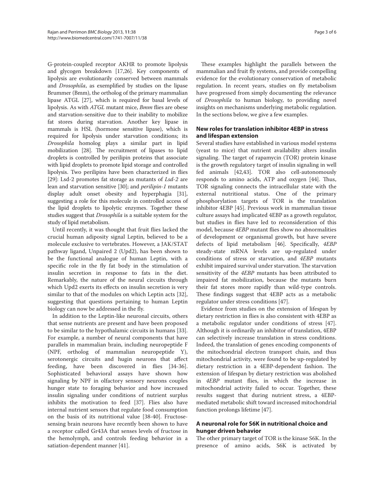G-protein-coupled receptor AKHR to promote lipolysis and glycogen breakdown [17,26]. Key components of lipolysis are evolutionarily conserved between mammals and *Drosophila*, as exemplified by studies on the lipase Brummer (Bmm), the ortholog of the primary mammalian lipase ATGL [27], which is required for basal levels of lipolysis. As with *ATGL* mutant mice, *Bmm* flies are obese and starvation-sensitive due to their inability to mobilize fat stores during starvation. Another key lipase in mammals is HSL (hormone sensitive lipase), which is required for lipolysis under starvation conditions; its *Drosophila* homolog plays a similar part in lipid mobilization [28]. The recruitment of lipases to lipid droplets is controlled by perilipin proteins that associate with lipid droplets to promote lipid storage and controlled lipolysis. Two perilipins have been characterized in flies [29]: Lsd-2 promotes fat storage as mutants of *Lsd-2* are lean and starvation sensitive [30]; and *perilipin-1* mutants display adult onset obesity and hyperphagia [31], suggesting a role for this molecule in controlled access of the lipid droplets to lipolytic enzymes. Together these studies suggest that *Drosophila* is a suitable system for the study of lipid metabolism.

Until recently, it was thought that fruit flies lacked the crucial human adiposity signal Leptin, believed to be a molecule exclusive to vertebrates. However, a JAK/STAT pathway ligand, Unpaired 2 (Upd2), has been shown to be the functional analogue of human Leptin, with a specific role in the fly fat body in the stimulation of insulin secretion in response to fats in the diet. Remarkably, the nature of the neural circuits through which Upd2 exerts its effects on insulin secretion is very similar to that of the modules on which Leptin acts [32], suggesting that questions pertaining to human Leptin biology can now be addressed in the fly.

In addition to the Leptin-like neuronal circuits, others that sense nutrients are present and have been proposed to be similar to the hypothalamic circuits in humans [33]. For example, a number of neural components that have parallels in mammalian brain, including neuropeptide F (NPF, ortholog of mammalian neuropeptide Y), serotonergic circuits and hugin neurons that affect feeding, have been discovered in flies [34-36]. Sophisticated behavioral assays have shown how signaling by NPF in olfactory sensory neurons couples hunger state to foraging behavior and how increased insulin signaling under conditions of nutrient surplus inhibits the motivation to feed [37]. Flies also have internal nutrient sensors that regulate food consumption on the basis of its nutritional value [38-40]. Fructosesensing brain neurons have recently been shown to have a receptor called Gr43A that senses levels of fructose in the hemolymph, and controls feeding behavior in a satiation-dependent manner [41].

These examples highlight the parallels between the mammalian and fruit fly systems, and provide compelling evidence for the evolutionary conservation of metabolic regulation. In recent years, studies on fly metabolism have progressed from simply documenting the relevance of *Drosophila* to human biology, to providing novel insights on mechanisms underlying metabolic regulation. In the sections below, we give a few examples.

#### **New roles for translation inhibitor 4EBP in stress and lifespan extension**

Several studies have established in various model systems (yeast to mice) that nutrient availability alters insulin signaling. The target of rapamycin (TOR) protein kinase is the growth regulatory target of insulin signaling in well fed animals [42,43]. TOR also cell-autonomously responds to amino acids, ATP and oxygen [44]. Thus, TOR signaling connects the intracellular state with the external nutritional status. One of the primary phosphorylation targets of TOR is the translation inhibitor 4EBP [45]. Previous work in mammalian tissue culture assays had implicated 4EBP as a growth regulator, but studies in flies have led to reconsideration of this model, because *4EBP* mutant flies show no abnormalities of development or organismal growth, but have severe defects of lipid metabolism [46]. Specifically, *4EBP* steady-state mRNA levels are up-regulated under conditions of stress or starvation, and *4EBP* mutants exhibit impaired survival under starvation. The starvation sensitivity of the *4EBP* mutants has been attributed to impaired fat mobilization, because the mutants burn their fat stores more rapidly than wild-type controls. These findings suggest that 4EBP acts as a metabolic regulator under stress conditions [47].

Evidence from studies on the extension of lifespan by dietary restriction in flies is also consistent with 4EBP as a metabolic regulator under conditions of stress [47]. Although it is ordinarily an inhibitor of translation, 4EBP can selectively increase translation in stress conditions. Indeed, the translation of genes encoding components of the mitochondrial electron transport chain, and thus mitochondrial activity, were found to be up-regulated by dietary restriction in a 4EBP-dependent fashion. The extension of lifespan by dietary restriction was abolished in *4EBP* mutant flies, in which the increase in mitochondrial activity failed to occur. Together, these results suggest that during nutrient stress, a 4EBPmediated metabolic shift toward increased mitochondrial function prolongs lifetime [47].

#### **A neuronal role for S6K in nutritional choice and hunger driven behavior**

The other primary target of TOR is the kinase S6K. In the presence of amino acids, S6K is activated by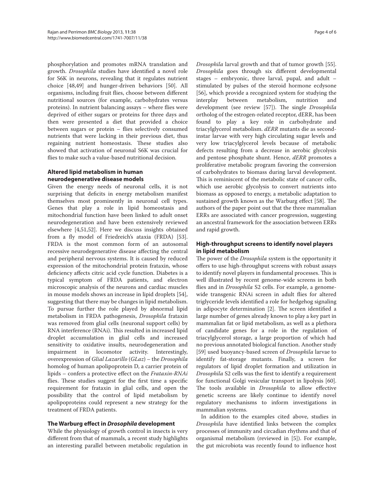phosphorylation and promotes mRNA translation and growth. *Drosophila* studies have identified a novel role for S6K in neurons, revealing that it regulates nutrient choice [48,49] and hunger-driven behaviors [50]. All organisms, including fruit flies, choose between different nutritional sources (for example, carbohydrates versus proteins). In nutrient balancing assays – where flies were deprived of either sugars or proteins for three days and then were presented a diet that provided a choice between sugars or protein – flies selectively consumed nutrients that were lacking in their previous diet, thus regaining nutrient homeostasis. These studies also showed that activation of neuronal S6K was crucial for flies to make such a value-based nutritional decision.

#### **Altered lipid metabolism in human neurodegenerative disease models**

Given the energy needs of neuronal cells, it is not surprising that deficits in energy metabolism manifest themselves most prominently in neuronal cell types. Genes that play a role in lipid homeostasis and mitochondrial function have been linked to adult onset neurodegeneration and have been extensively reviewed elsewhere [4,51,52]. Here we discuss insights obtained from a fly model of Friedreich's ataxia (FRDA) [53]. FRDA is the most common form of an autosomal recessive neurodegenerative disease affecting the central and peripheral nervous systems. It is caused by reduced expression of the mitochondrial protein frataxin, whose deficiency affects citric acid cycle function. Diabetes is a typical symptom of FRDA patients, and electron microscopic analysis of the neurons and cardiac muscles in mouse models shows an increase in lipid droplets [54], suggesting that there may be changes in lipid metabolism. To pursue further the role played by abnormal lipid metabolism in FRDA pathogenesis, *Drosophila* frataxin was removed from glial cells (neuronal support cells) by RNA interference (RNAi). This resulted in increased lipid droplet accumulation in glial cells and increased sensitivity to oxidative insults, neurodegeneration and impairment in locomotor activity. Interestingly, overexpression of *Glial Lazarillo* (*GLaz*) – the *Drosophila*  homolog of human apolipoprotein D, a carrier protein of lipids – confers a protective effect on the *Frataxin-RNAi* flies. These studies suggest for the first time a specific requirement for frataxin in glial cells, and open the possibility that the control of lipid metabolism by apolipoproteins could represent a new strategy for the treatment of FRDA patients.

#### **The Warburg effect in** *Drosophila* **development**

While the physiology of growth control in insects is very different from that of mammals, a recent study highlights an interesting parallel between metabolic regulation in *Drosophila* larval growth and that of tumor growth [55]. *Drosophila* goes through six different developmental stages – embryonic, three larval, pupal, and adult – stimulated by pulses of the steroid hormone ecdysone [56], which provide a recognized system for studying the interplay between metabolism, nutrition and interplay between metabolism, nutrition and development (see review [57]). The single *Drosophila*  ortholog of the estrogen-related receptor, dERR, has been found to play a key role in carbohydrate and triacylglycerol metabolism. *dERR* mutants die as secondinstar larvae with very high circulating sugar levels and very low triacylglycerol levels because of metabolic defects resulting from a decrease in aerobic glycolysis and pentose phosphate shunt. Hence, *dERR* promotes a proliferative metabolic program favoring the conversion of carbohydrates to biomass during larval development. This is reminiscent of the metabolic state of cancer cells, which use aerobic glycolysis to convert nutrients into biomass as opposed to energy, a metabolic adaptation to sustained growth known as the Warburg effect [58]. The authors of the paper point out that the three mammalian ERRs are associated with cancer progression, suggesting an ancestral framework for the association between ERRs and rapid growth.

#### **High-throughput screens to identify novel players in lipid metabolism**

The power of the *Drosophila* system is the opportunity it offers to use high-throughput screens with robust assays to identify novel players in fundamental processes. This is well illustrated by recent genome-wide screens in both flies and in *Drosophila* S2 cells. For example, a genomewide transgenic RNAi screen in adult flies for altered triglyceride levels identified a role for hedgehog signaling in adipocyte determination [2]. The screen identified a large number of genes already known to play a key part in mammalian fat or lipid metabolism, as well as a plethora of candidate genes for a role in the regulation of triacylglycerol storage, a large proportion of which had no previous annotated biological function. Another study [59] used buoyancy-based screen of *Drosophila* larvae to identify fat-storage mutants. Finally, a screen for regulators of lipid droplet formation and utilization in *Drosophila* S2 cells was the first to identify a requirement for functional Golgi vesicular transport in lipolysis [60]. The tools available in *Drosophila* to allow effective genetic screens are likely continue to identify novel regulatory mechanisms to inform investigations in mammalian systems.

In addition to the examples cited above, studies in *Drosophila* have identified links between the complex processes of immunity and circadian rhythms and that of organismal metabolism (reviewed in [5]). For example, the gut microbiota was recently found to influence host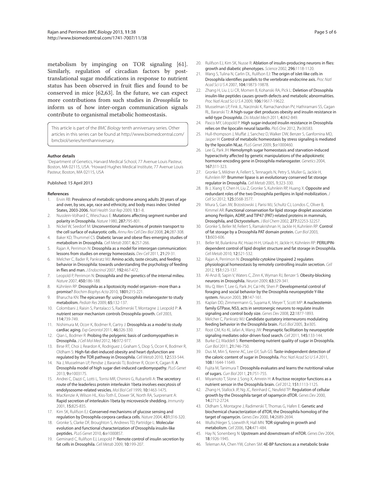metabolism by impinging on TOR signaling [61]. Similarly, regulation of circadian factors by posttranslational sugar modifications in response to nutrient status has been observed in fruit flies and found to be conserved in mice [62,63]. In the future, we can expect more contributions from such studies in *Drosophila* to inform us of how inter-organ communication signals contribute to organismal metabolic homeostasis.

This article is part of the *BMC Biology* tenth anniversary series. Other articles in this series can be found at http://www.biomedcentral.com/ bmcbiol/series/tenthanniversary.

#### **Author details**

1 Department of Genetics, Harvard Medical School, 77 Avenue Louis Pasteur, Boston, MA 02115, USA. 2 Howard Hughes Medical Institute, 77 Avenue Louis Pasteur, Boston, MA 02115, USA

#### Published: 15 April 2013

#### **References**

- 1. Ervin RB: Prevalence of metabolic syndrome among adults 20 years of age and over, by sex, age, race and ethnicity, and body mass index: United States, 2003-2006. *Natl Health Stat Rep* 2009, 13:1-8.
- 2. Nusslein-Volhard C, Wieschaus E: Mutations affecting segment number and polarity in Drosophila. *Nature* 1980, 287:795-801.
- Nickel W, Seedorf M: Unconventional mechanisms of protein transport to the cell surface of eukaryotic cells. *Annu Rev Cell Dev Biol* 2008, 24:287-308.
- 4. Baker KD, Thummel CS: Diabetic larvae and obese flies-emerging studies of metabolism in Drosophila. *Cell Metab* 2007, 6:257-266.
- 5. Rajan A, Perrimon N: Drosophila as a model for interorgan communication: lessons from studies on energy homeostasis. *Dev Cell* 2011, 21:29-31.
- 6. Melcher C, Bader R, Pankratz MJ: Amino acids, taste circuits, and feeding behavior in Drosophila: towards understanding the psychology of feeding in flies and man. *J Endocrinol* 2007, 192:467-472.
- 7. Leopold P, Perrimon N: Drosophila and the genetics of the internal milieu. *Nature* 2007, 450:186-188.
- 8. Kühnlein RP: Drosophila as a lipotoxicity model organism--more than a promise? *Biochim Biophys Acta* 2010, 1801:215-221.
- 9. Bharucha KN: The epicurean fly: using Drosophila melanogaster to study metabolism. *Pediatr Res* 2009, 65:132-137.
- 10. Colombani J, Raisin S, Pantalacci S, Radimerski T, Montagne J, Leopold P: A nutrient sensor mechanism controls Drosophila growth. *Cell* 2003, 114:739-749.
- 11. Nishimura M, Ocorr K, Bodmer R, Cartry J: Drosophila as a model to study cardiac aging. *Exp Gerontol* 2011, 46:326-330.
- 12. Qian L, Bodmer R: Probing the polygenic basis of cardiomyopathies in Drosophila. *J Cell Mol Med* 2012, 16:972-977.
- 13. Birse RT, Choi J, Reardon K, Rodriguez J, Graham S, Diop S, Ocorr K, Bodmer R, Oldham S: High-fat-diet-induced obesity and heart dysfunction are regulated by the TOR pathway in Drosophila. *Cell Metab* 2010, 12:533-544.
- 14. Na J, Musselman LP, Pendse J, Baranski TJ, Bodmer R, Ocorr K, Cagan R: A Drosophila model of high sugar diet-induced cardiomyopathy. *PLoS Genet*  2013, 9:e1003175.
- 15. Andrei C, Dazzi C, Lotti L, Torrisi MR, Chimini G, Rubartelli A: The secretory route of the leaderless protein interleukin 1beta involves exocytosis of endolysosome-related vesicles. *Mol Biol Cell* 1999, 10:1463-1475.
- 16. MacKenzie A, Wilson HL, Kiss-Toth E, Dower SK, North RA, Surprenant A: Rapid secretion of interleukin-1beta by microvesicle shedding. *Immunity*  2001, 15:825-835.
- 17. Kim SK, Rulifson EJ: Conserved mechanisms of glucose sensing and regulation by Drosophila corpora cardiaca cells. *Nature* 2004, 431:316-320.
- 18. Gronke S, Clarke DF, Broughton S, Andrews TD, Partridge L; Molecular evolution and functional characterization of Drosophila insulin-like peptides. *PLoS Genet* 2010, 6:e1000857.
- 19. Geminard C, Rulifson EJ, Leopold P: Remote control of insulin secretion by fat cells in Drosophila. *Cell Metab* 2009, 10:199-207.
- 20. Rulifson EJ, Kim SK, Nusse R: Ablation of insulin-producing neurons in flies: growth and diabetic phenotypes. *Science* 2002, 296:1118-1120.
- 21. Wang S, Tulina N, Carlin DL, Rulifson EJ: The origin of islet-like cells in Drosophila identifies parallels to the vertebrate endocrine axis. *Proc Natl Acad Sci U S A* 2007, 104:19873-19878.
- 22. Zhang H, Liu J, Li CR, Momen B, Kohanski RA, Pick L: Deletion of Drosophila insulin-like peptides causes growth defects and metabolic abnormalities. *Proc Natl Acad Sci U S A* 2009, 106:19617-19622.
- 23. Musselman LP, Fink JL, Narzinski K, Ramachandran PV, Hathiramani SS, Cagan RL, Baranski TJ: A high-sugar diet produces obesity and insulin resistance in wild-type *Drosophila*. *Dis Model Mech* 2011, 4:842-849.
- 24. Pasco MY, Léopold P: High sugar-induced insulin resistance in Drosophila relies on the lipocalin neural lazarillo. *PloS One* 2012, 7:e36583.
- 25. Hull-thompson J, Muffat J, Sanchez D, Walker DW, Benzer S, Ganfornina MD, Jasper H: Control of metabolic homeostasis by stress signaling is mediated by the lipocalin NLaz. *PLoS Genet* 2009, 5:e1000460.
- 26. Lee G, Park JH: Hemolymph sugar homeostasis and starvation-induced hyperactivity affected by genetic manipulations of the adipokinetic hormone-encoding gene in Drosophila melanogaster. *Genetics* 2004, 167:311-323.
- 27. Gronke S, Mildner A, Fellert S, Tennagels N, Petry S, Muller G, Jackle H, Kuhnlein RP: Brummer lipase is an evolutionary conserved fat storage regulator in Drosophila. *Cell Metab* 2005, 1:323-330.
- 28. Bi J, Xiang Y, Chen H, Liu Z, Gronke S, Kuhnlein RP, Huang X: Opposite and redundant roles of the two Drosophila perilipins in lipid mobilization. *J Cell Sci* 2012, 125:3568-3577.
- 29. Miura S, Gan JW, Brzostowski J, Parisi MJ, Schultz CJ, Londos C, Oliver B, Kimmel AR: Functional conservation for lipid storage droplet association among Perilipin, ADRP, and TIP47 (PAT)-related proteins in mammals, Drosophila, and Dictyostelium. *J Biol Chem* 2002, 277:32253-32257.
- 30. Gronke S, Beller M, Fellert S, Ramakrishnan H, Jackle H, Kuhnlein RP: Control of fat storage by a Drosophila PAT domain protein. *Curr Biol* 2003, 13:603-606.
- 31. Beller M, Bulankina AV, Hsiao H-H, Urlaub H, Jäckle H, Kühnlein RP: PERILIPINdependent control of lipid droplet structure and fat storage in Drosophila. *Cell Metab* 2010, 12:521-532.
- 32. Rajan A, Perrimon N: *Drosophila* cytokine Unpaired 2 regulates physiological homeostasis by remotely controlling insulin secretion. *Cell*  2012, 151:123-137.
- 33. Al-Anzi B, Sapin V, Waters C, Zinn K, Wyman RJ, Benzer S: Obesity-blocking neurons in Drosophila. *Neuron* 2009, 63:329-341.
- 34. Wu O, Wen T, Lee G, Park JH, Cai HN, Shen P: Developmental control of foraging and social behavior by the Drosophila neuropeptide Y-like system. *Neuron* 2003, 39:147-161.
- 35. Kaplan DD, Zimmermann G, Suyama K, Meyer T, Scott MP: A nucleostemin family GTPase, NS3, acts in serotonergic neurons to regulate insulin signaling and control body size. *Genes Dev* 2008, 22:1877-1893.
- 36. Melcher C, Pankratz MJ: Candidate gustatory interneurons modulating feeding behavior in the Drosophila brain. *PLoS Biol* 2005, 3:e305.
- Root CM, Ko KI, Jafari A, Wang JW: Presynaptic facilitation by neuropeptide signaling mediates odor-driven food search. *Cell* 2011, 145:133-144.
- 38. Burke CJ, Waddell S: Remembering nutrient quality of sugar in Drosophila. *Curr Biol* 2011, 21:746-750.
- 39. Dus M, Min S, Keene AC, Lee GY, Suh GS: Taste-independent detection of the caloric content of sugar in Drosophila. *Proc Natl Acad Sci U S A* 2011, 108:11644-11649.
- 40. Fujita M, Tanimura T: Drosophila evaluates and learns the nutritional value of sugars. *Curr Biol* 2011, 21:751-755.
- 41. Miyamoto T, Slone J, Song X, Amrein H: A fructose receptor functions as a nutrient sensor in the Drosophila brain. *Cell* 2012, 151:1113-1125.
- 42. Zhang H, Stallock JP, Ng JC, Reinhard C, Neufeld TP: Regulation of cellular growth by the Drosophila target of rapamycin dTOR. *Genes Dev* 2000, 14:2712-2724.
- 43. Oldham S, Montagne J, Radimerski T, Thomas G, Hafen E: Genetic and biochemical characterization of dTOR, the Drosophila homolog of the target of rapamycin. *Genes Dev* 2000, 14:2689-2694.
- 44. Wullschleger S, Loewith R, Hall MN: TOR signaling in growth and metabolism. *Cell* 2006, 124:471-484.
- 45. Hay N, Sonenberg N: Upstream and downstream of mTOR. *Genes Dev* 2004, 18:1926-1945.
- 46. Teleman AA, Chen YW, Cohen SM: 4E-BP functions as a metabolic brake